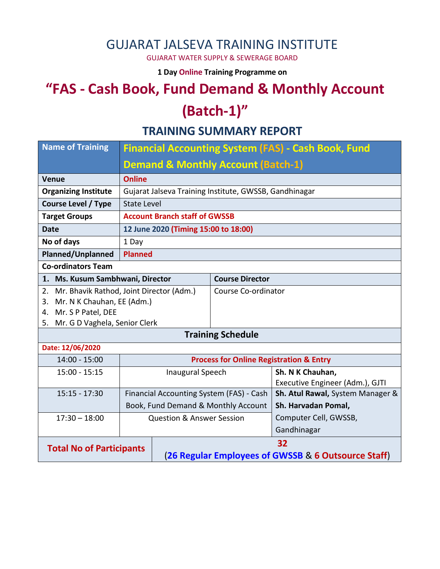### GUJARAT JALSEVA TRAINING INSTITUTE

GUJARAT WATER SUPPLY & SEWERAGE BOARD

**1 Day Online Training Programme on** 

# **"FAS - Cash Book, Fund Demand & Monthly Account (Batch-1)"**

#### **TRAINING SUMMARY REPORT**

| <b>Name of Training</b>          | <b>Financial Accounting System (FAS) - Cash Book, Fund</b> |                                                        |                          |                                  |  |  |
|----------------------------------|------------------------------------------------------------|--------------------------------------------------------|--------------------------|----------------------------------|--|--|
|                                  | <b>Demand &amp; Monthly Account (Batch-1)</b>              |                                                        |                          |                                  |  |  |
| Venue                            | <b>Online</b>                                              |                                                        |                          |                                  |  |  |
| <b>Organizing Institute</b>      |                                                            | Gujarat Jalseva Training Institute, GWSSB, Gandhinagar |                          |                                  |  |  |
| <b>Course Level / Type</b>       | <b>State Level</b>                                         |                                                        |                          |                                  |  |  |
| <b>Target Groups</b>             | <b>Account Branch staff of GWSSB</b>                       |                                                        |                          |                                  |  |  |
| <b>Date</b>                      | 12 June 2020 (Timing 15:00 to 18:00)                       |                                                        |                          |                                  |  |  |
| No of days                       | 1 Day                                                      |                                                        |                          |                                  |  |  |
| <b>Planned/Unplanned</b>         | <b>Planned</b>                                             |                                                        |                          |                                  |  |  |
| <b>Co-ordinators Team</b>        |                                                            |                                                        |                          |                                  |  |  |
| 1. Ms. Kusum Sambhwani, Director |                                                            | <b>Course Director</b>                                 |                          |                                  |  |  |
|                                  | 2. Mr. Bhavik Rathod, Joint Director (Adm.)                |                                                        |                          | Course Co-ordinator              |  |  |
| Mr. N K Chauhan, EE (Adm.)<br>3. |                                                            |                                                        |                          |                                  |  |  |
| 4. Mr. S P Patel, DEE            |                                                            |                                                        |                          |                                  |  |  |
| 5. Mr. G D Vaghela, Senior Clerk |                                                            |                                                        |                          |                                  |  |  |
|                                  |                                                            |                                                        | <b>Training Schedule</b> |                                  |  |  |
| Date: 12/06/2020                 |                                                            |                                                        |                          |                                  |  |  |
| $14:00 - 15:00$                  |                                                            | <b>Process for Online Registration &amp; Entry</b>     |                          |                                  |  |  |
| $15:00 - 15:15$                  | <b>Inaugural Speech</b>                                    |                                                        |                          | Sh. N K Chauhan,                 |  |  |
|                                  |                                                            |                                                        |                          | Executive Engineer (Adm.), GJTI  |  |  |
| $15:15 - 17:30$                  | Financial Accounting System (FAS) - Cash                   |                                                        |                          | Sh. Atul Rawal, System Manager & |  |  |
|                                  | Book, Fund Demand & Monthly Account                        |                                                        |                          | Sh. Harvadan Pomal,              |  |  |
| $17:30 - 18:00$                  | <b>Question &amp; Answer Session</b>                       |                                                        |                          | Computer Cell, GWSSB,            |  |  |
|                                  |                                                            |                                                        | Gandhinagar              |                                  |  |  |
| <b>Total No of Participants</b>  |                                                            | 32                                                     |                          |                                  |  |  |
|                                  |                                                            | (26 Regular Employees of GWSSB & 6 Outsource Staff)    |                          |                                  |  |  |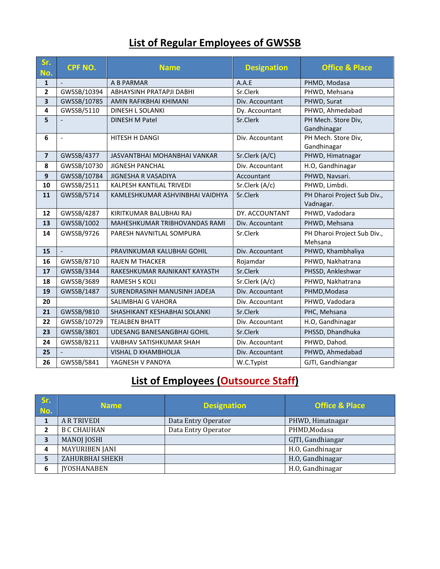## **List of Regular Employees of GWSSB**

| Sr.<br>No.              | CPF NO.                  | <b>Name</b>                     | <b>Designation</b> | <b>Office &amp; Place</b>   |
|-------------------------|--------------------------|---------------------------------|--------------------|-----------------------------|
| $\mathbf{1}$            | $\overline{\phantom{a}}$ | A B PARMAR                      | A.A.E              | PHMD, Modasa                |
| $\overline{\mathbf{2}}$ | GWSSB/10394              | ABHAYSINH PRATAPJI DABHI        | Sr.Clerk           | PHWD, Mehsana               |
| 3                       | GWSSB/10785              | AMIN RAFIKBHAI KHIMANI          | Div. Accountant    | PHWD, Surat                 |
| 4                       | GWSSB/5110               | DINESH L SOLANKI                | Dy. Accountant     | PHWD, Ahmedabad             |
| 5                       |                          | DINESH M Patel                  | Sr.Clerk           | PH Mech. Store Div,         |
|                         |                          |                                 |                    | Gandhinagar                 |
| 6                       | $\overline{a}$           | HITESH H DANGI                  | Div. Accountant    | PH Mech. Store Div,         |
|                         |                          |                                 |                    | Gandhinagar                 |
| $\overline{\mathbf{z}}$ | GWSSB/4377               | JASVANTBHAI MOHANBHAI VANKAR    | Sr.Clerk (A/C)     | PHWD, Himatnagar            |
| 8                       | GWSSB/10730              | <b>JIGNESH PANCHAL</b>          | Div. Accountant    | H.O, Gandhinagar            |
| 9                       | GWSSB/10784              | JIGNESHA R VASADIYA             | Accountant         | PHWD, Navsari.              |
| 10                      | GWSSB/2511               | KALPESH KANTILAL TRIVEDI        | Sr.Clerk (A/c)     | PHWD, Limbdi.               |
| 11                      | GWSSB/5714               | KAMLESHKUMAR ASHVINBHAI VAIDHYA | Sr.Clerk           | PH Dharoi Project Sub Div., |
|                         |                          |                                 |                    | Vadnagar.                   |
| 12                      | GWSSB/4287               | KIRITKUMAR BALUBHAI RAJ         | DY. ACCOUNTANT     | PHWD, Vadodara              |
| 13                      | GWSSB/1002               | MAHESHKUMAR TRIBHOVANDAS RAMI   | Div. Accountant    | PHWD, Mehsana               |
| 14                      | GWSSB/9726               | PARESH NAVNITLAL SOMPURA        | Sr.Clerk           | PH Dharoi Project Sub Div., |
|                         |                          |                                 |                    | Mehsana                     |
| 15                      | $\mathbb{L}$             | PRAVINKUMAR KALUBHAI GOHIL      | Div. Accountant    | PHWD, Khambhaliya           |
| 16                      | GWSSB/8710               | <b>RAJEN M THACKER</b>          | Rojamdar           | PHWD, Nakhatrana            |
| 17                      | GWSSB/3344               | RAKESHKUMAR RAJNIKANT KAYASTH   | Sr.Clerk           | PHSSD, Ankleshwar           |
| 18                      | GWSSB/3689               | <b>RAMESH S KOLI</b>            | Sr.Clerk (A/c)     | PHWD, Nakhatrana            |
| 19                      | GWSSB/1487               | SURENDRASINH MANUSINH JADEJA    | Div. Accountant    | PHMD, Modasa                |
| 20                      |                          | SALIMBHAI G VAHORA              | Div. Accountant    | PHWD, Vadodara              |
| 21                      | GWSSB/9810               | SHASHIKANT KESHABHAI SOLANKI    | Sr.Clerk           | PHC, Mehsana                |
| 22                      | GWSSB/10729              | <b>TEJALBEN BHATT</b>           | Div. Accountant    | H.O, Gandhinagar            |
| 23                      | GWSSB/3801               | UDESANG BANESANGBHAI GOHIL      | Sr.Clerk           | PHSSD, Dhandhuka            |
| 24                      | GWSSB/8211               | <b>VAIBHAV SATISHKUMAR SHAH</b> | Div. Accountant    | PHWD, Dahod.                |
| 25                      |                          | <b>VISHAL D KHAMBHOLJA</b>      | Div. Accountant    | PHWD, Ahmedabad             |
| 26                      | GWSSB/5841               | YAGNESH V PANDYA                | W.C.Typist         | GJTI, Gandhiangar           |

#### **List of Employees (Outsource Staff)**

| Sr.<br>No. | <b>Name</b>           | <b>Designation</b>  | <b>Office &amp; Place</b> |
|------------|-----------------------|---------------------|---------------------------|
|            | <b>A R TRIVEDI</b>    | Data Entry Operator | PHWD, Himatnagar          |
|            | <b>B C CHAUHAN</b>    | Data Entry Operator | PHMD, Modasa              |
| 3          | <b>MANOJ JOSHI</b>    |                     | GJTI, Gandhiangar         |
| 4          | <b>MAYURIBEN JANI</b> |                     | H.O, Gandhinagar          |
|            | ZAHURBHAI SHEKH       |                     | H.O, Gandhinagar          |
| 6          | <b>IYOSHANABEN</b>    |                     | H.O, Gandhinagar          |